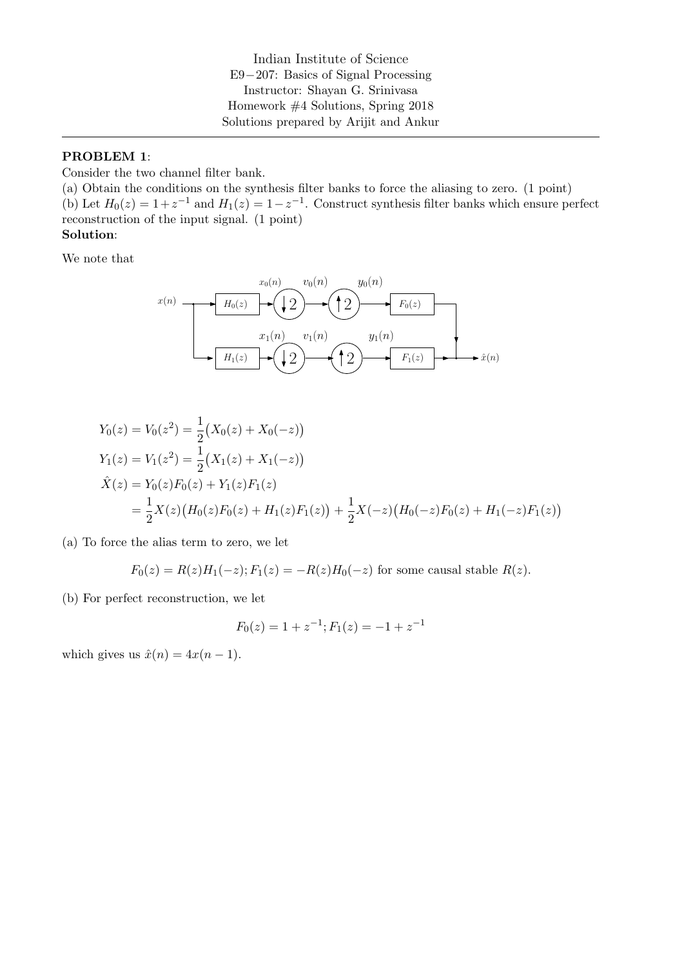Indian Institute of Science E9−207: Basics of Signal Processing Instructor: Shayan G. Srinivasa Homework #4 Solutions, Spring 2018 Solutions prepared by Arijit and Ankur

#### PROBLEM 1:

Consider the two channel filter bank.

(a) Obtain the conditions on the synthesis filter banks to force the aliasing to zero. (1 point) (b) Let  $H_0(z) = 1 + z^{-1}$  and  $H_1(z) = 1 - z^{-1}$ . Construct synthesis filter banks which ensure perfect reconstruction of the input signal. (1 point)

### Solution:

We note that

$$
x(n) \longrightarrow H_0(z) \longrightarrow U_0(n) \longrightarrow U_0(n)
$$
\n
$$
x_1(n) \longrightarrow U_1(n) \longrightarrow U_1(n)
$$
\n
$$
y_1(n)
$$
\n
$$
y_1(n)
$$
\n
$$
y_1(n)
$$
\n
$$
F_1(z) \longrightarrow \hat{x}(n)
$$

$$
Y_0(z) = V_0(z^2) = \frac{1}{2} (X_0(z) + X_0(-z))
$$
  
\n
$$
Y_1(z) = V_1(z^2) = \frac{1}{2} (X_1(z) + X_1(-z))
$$
  
\n
$$
\hat{X}(z) = Y_0(z)F_0(z) + Y_1(z)F_1(z)
$$
  
\n
$$
= \frac{1}{2}X(z) (H_0(z)F_0(z) + H_1(z)F_1(z)) + \frac{1}{2}X(-z) (H_0(-z)F_0(z) + H_1(-z)F_1(z))
$$

(a) To force the alias term to zero, we let

$$
F_0(z) = R(z)H_1(-z); F_1(z) = -R(z)H_0(-z)
$$
 for some causal stable  $R(z)$ .

(b) For perfect reconstruction, we let

$$
F_0(z) = 1 + z^{-1}; F_1(z) = -1 + z^{-1}
$$

which gives us  $\hat{x}(n) = 4x(n-1)$ .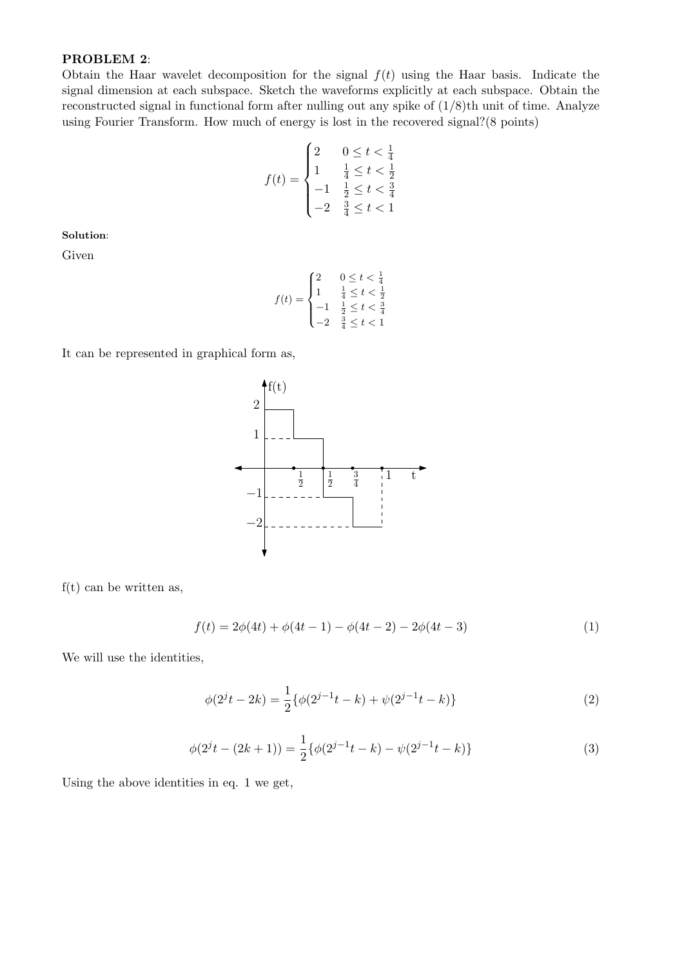### PROBLEM 2:

Obtain the Haar wavelet decomposition for the signal  $f(t)$  using the Haar basis. Indicate the signal dimension at each subspace. Sketch the waveforms explicitly at each subspace. Obtain the reconstructed signal in functional form after nulling out any spike of  $(1/8)$ th unit of time. Analyze using Fourier Transform. How much of energy is lost in the recovered signal?(8 points)

$$
f(t) = \begin{cases} 2 & 0 \le t < \frac{1}{4} \\ 1 & \frac{1}{4} \le t < \frac{1}{2} \\ -1 & \frac{1}{2} \le t < \frac{3}{4} \\ -2 & \frac{3}{4} \le t < 1 \end{cases}
$$

Solution:

Given

$$
f(t) = \begin{cases} 2 & 0 \le t < \frac{1}{4} \\ 1 & \frac{1}{4} \le t < \frac{1}{2} \\ -1 & \frac{1}{2} \le t < \frac{3}{4} \\ -2 & \frac{3}{4} \le t < 1 \end{cases}
$$

It can be represented in graphical form as,



 $f(t)$  can be written as,

$$
f(t) = 2\phi(4t) + \phi(4t - 1) - \phi(4t - 2) - 2\phi(4t - 3)
$$
\n(1)

We will use the identities,

$$
\phi(2^{j}t - 2k) = \frac{1}{2} \{ \phi(2^{j-1}t - k) + \psi(2^{j-1}t - k) \}
$$
\n(2)

$$
\phi(2^{j}t - (2k+1)) = \frac{1}{2} \{ \phi(2^{j-1}t - k) - \psi(2^{j-1}t - k) \}
$$
\n(3)

Using the above identities in eq. 1 we get,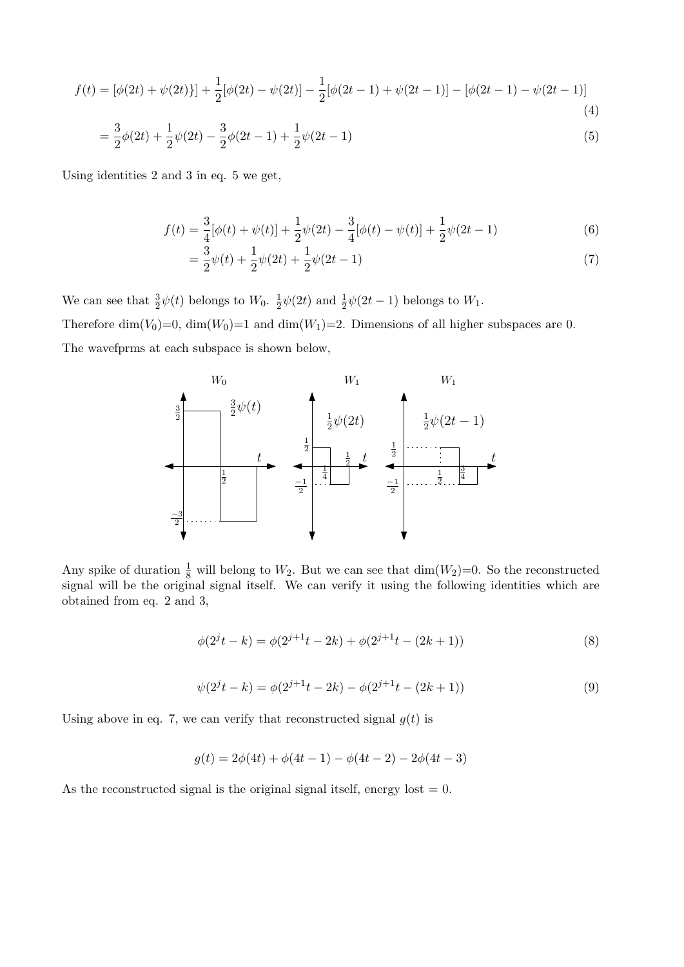$$
f(t) = [\phi(2t) + \psi(2t)] + \frac{1}{2}[\phi(2t) - \psi(2t)] - \frac{1}{2}[\phi(2t - 1) + \psi(2t - 1)] - [\phi(2t - 1) - \psi(2t - 1)]
$$
\n(4)

$$
= \frac{3}{2}\phi(2t) + \frac{1}{2}\psi(2t) - \frac{3}{2}\phi(2t-1) + \frac{1}{2}\psi(2t-1)
$$
\n(5)

Using identities 2 and 3 in eq. 5 we get,

$$
f(t) = \frac{3}{4}[\phi(t) + \psi(t)] + \frac{1}{2}\psi(2t) - \frac{3}{4}[\phi(t) - \psi(t)] + \frac{1}{2}\psi(2t - 1)
$$
(6)

$$
=\frac{3}{2}\psi(t) + \frac{1}{2}\psi(2t) + \frac{1}{2}\psi(2t - 1)
$$
\n(7)

We can see that  $\frac{3}{2}\psi(t)$  belongs to  $W_0$ .  $\frac{1}{2}$  $\frac{1}{2}\psi(2t)$  and  $\frac{1}{2}\psi(2t-1)$  belongs to  $W_1$ .

Therefore  $\dim(V_0)=0$ ,  $\dim(W_0)=1$  and  $\dim(W_1)=2$ . Dimensions of all higher subspaces are 0. The wavefprms at each subspace is shown below,



Any spike of duration  $\frac{1}{8}$  will belong to  $W_2$ . But we can see that  $\dim(W_2)=0$ . So the reconstructed signal will be the original signal itself. We can verify it using the following identities which are obtained from eq. 2 and 3,

$$
\phi(2^{j}t - k) = \phi(2^{j+1}t - 2k) + \phi(2^{j+1}t - (2k+1))
$$
\n(8)

$$
\psi(2^{j}t - k) = \phi(2^{j+1}t - 2k) - \phi(2^{j+1}t - (2k+1))
$$
\n(9)

Using above in eq. 7, we can verify that reconstructed signal  $g(t)$  is

$$
g(t) = 2\phi(4t) + \phi(4t - 1) - \phi(4t - 2) - 2\phi(4t - 3)
$$

As the reconstructed signal is the original signal itself, energy lost  $= 0$ .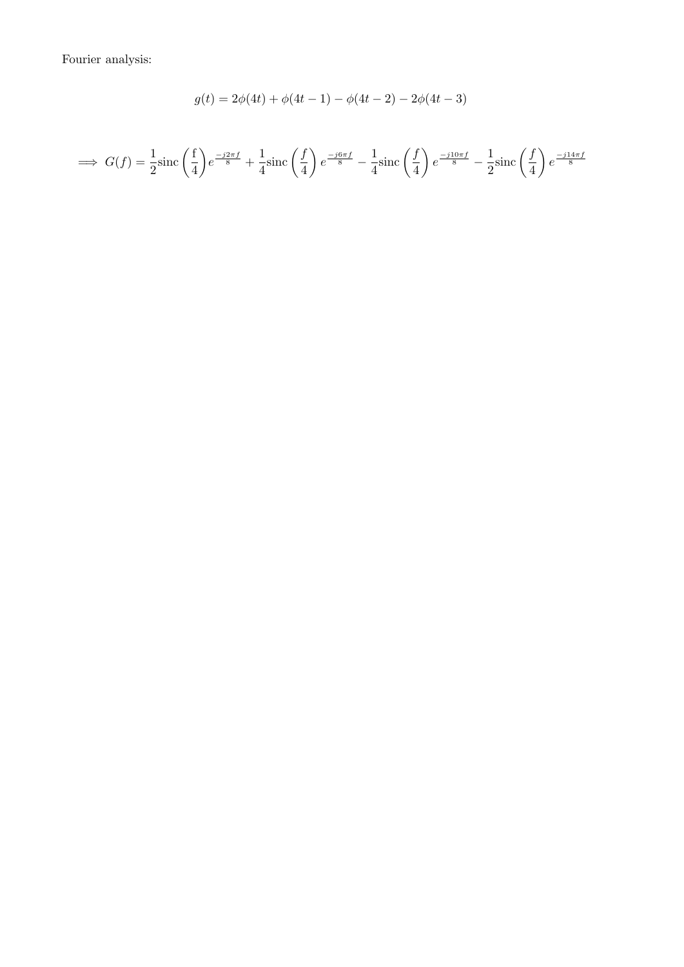Fourier analysis:

$$
g(t) = 2\phi(4t) + \phi(4t - 1) - \phi(4t - 2) - 2\phi(4t - 3)
$$

$$
\implies G(f) = \frac{1}{2}\mathrm{sinc}\left(\frac{f}{4}\right)e^{\frac{-j2\pi f}{8}} + \frac{1}{4}\mathrm{sinc}\left(\frac{f}{4}\right)e^{\frac{-j6\pi f}{8}} - \frac{1}{4}\mathrm{sinc}\left(\frac{f}{4}\right)e^{\frac{-j10\pi f}{8}} - \frac{1}{2}\mathrm{sinc}\left(\frac{f}{4}\right)e^{\frac{-j14\pi f}{8}}
$$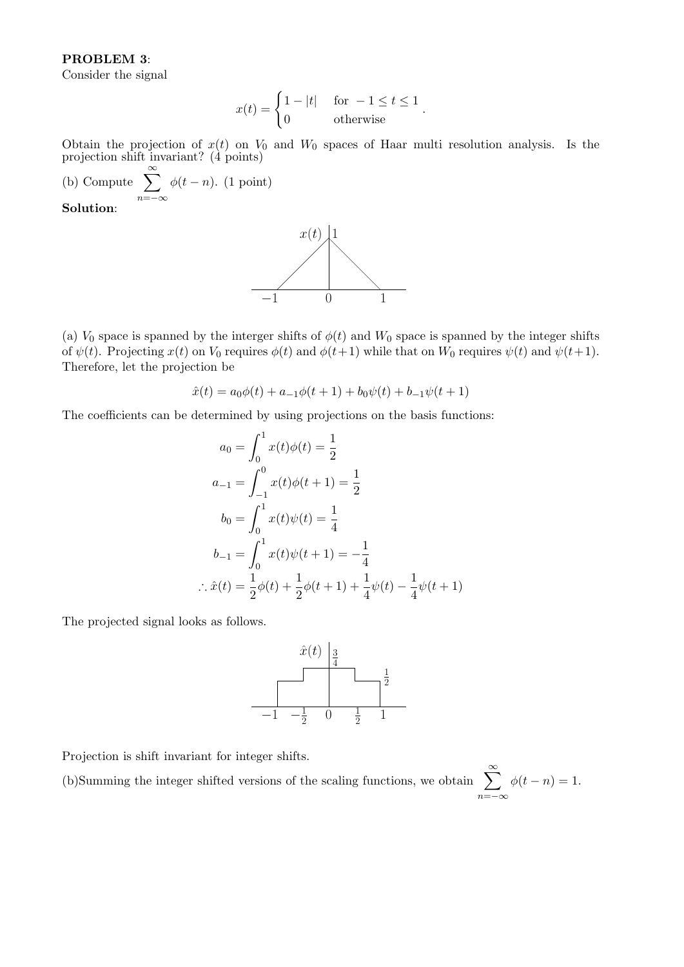### PROBLEM 3:

Consider the signal

$$
x(t) = \begin{cases} 1 - |t| & \text{for } -1 \le t \le 1 \\ 0 & \text{otherwise} \end{cases}.
$$

Obtain the projection of  $x(t)$  on  $V_0$  and  $W_0$  spaces of Haar multi resolution analysis. Is the projection shift invariant? (4 points)

(b) Compute  $\sum_{n=1}^{\infty}$  $n=-\infty$  $\phi(t-n)$ . (1 point)

Solution:



(a)  $V_0$  space is spanned by the interger shifts of  $\phi(t)$  and  $W_0$  space is spanned by the integer shifts of  $\psi(t)$ . Projecting  $x(t)$  on  $V_0$  requires  $\phi(t)$  and  $\phi(t+1)$  while that on  $W_0$  requires  $\psi(t)$  and  $\psi(t+1)$ . Therefore, let the projection be

$$
\hat{x}(t) = a_0\phi(t) + a_{-1}\phi(t+1) + b_0\psi(t) + b_{-1}\psi(t+1)
$$

The coefficients can be determined by using projections on the basis functions:

$$
a_0 = \int_0^1 x(t)\phi(t) = \frac{1}{2}
$$
  
\n
$$
a_{-1} = \int_{-1}^0 x(t)\phi(t+1) = \frac{1}{2}
$$
  
\n
$$
b_0 = \int_0^1 x(t)\psi(t) = \frac{1}{4}
$$
  
\n
$$
b_{-1} = \int_0^1 x(t)\psi(t+1) = -\frac{1}{4}
$$
  
\n
$$
\therefore \hat{x}(t) = \frac{1}{2}\phi(t) + \frac{1}{2}\phi(t+1) + \frac{1}{4}\psi(t) - \frac{1}{4}\psi(t+1)
$$

The projected signal looks as follows.



Projection is shift invariant for integer shifts.

(b)Summing the integer shifted versions of the scaling functions, we obtain  $\sum_{n=1}^{\infty}$  $n=-\infty$  $\phi(t - n) = 1.$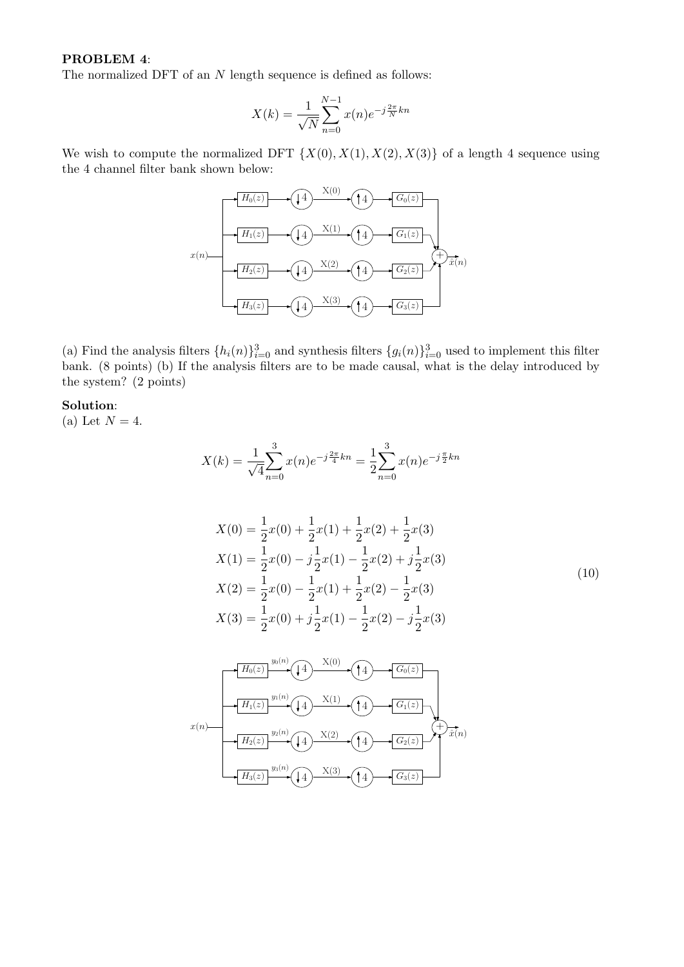# PROBLEM 4:

The normalized DFT of an  $N$  length sequence is defined as follows:

$$
X(k) = \frac{1}{\sqrt{N}} \sum_{n=0}^{N-1} x(n) e^{-j\frac{2\pi}{N}kn}
$$

We wish to compute the normalized DFT  $\{X(0), X(1), X(2), X(3)\}$  of a length 4 sequence using the 4 channel filter bank shown below:



(a) Find the analysis filters  $\{h_i(n)\}_{i=0}^3$  and synthesis filters  $\{g_i(n)\}_{i=0}^3$  used to implement this filter bank. (8 points) (b) If the analysis filters are to be made causal, what is the delay introduced by the system? (2 points)

#### Solution:

(a) Let  $N = 4$ .

$$
X(k) = \frac{1}{\sqrt{4}} \sum_{n=0}^{3} x(n) e^{-j\frac{2\pi}{4}kn} = \frac{1}{2} \sum_{n=0}^{3} x(n) e^{-j\frac{\pi}{2}kn}
$$

$$
X(0) = \frac{1}{2}x(0) + \frac{1}{2}x(1) + \frac{1}{2}x(2) + \frac{1}{2}x(3)
$$
  
\n
$$
X(1) = \frac{1}{2}x(0) - j\frac{1}{2}x(1) - \frac{1}{2}x(2) + j\frac{1}{2}x(3)
$$
  
\n
$$
X(2) = \frac{1}{2}x(0) - \frac{1}{2}x(1) + \frac{1}{2}x(2) - \frac{1}{2}x(3)
$$
  
\n
$$
X(3) = \frac{1}{2}x(0) + j\frac{1}{2}x(1) - \frac{1}{2}x(2) - j\frac{1}{2}x(3)
$$
\n(10)

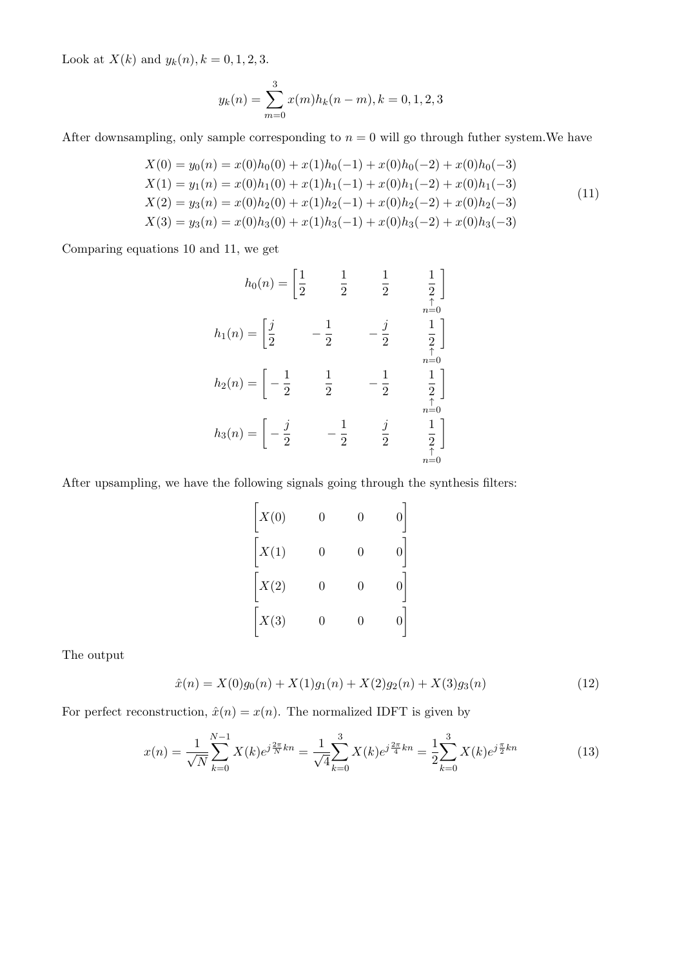Look at  $X(k)$  and  $y_k(n)$ ,  $k = 0, 1, 2, 3$ .

$$
y_k(n) = \sum_{m=0}^{3} x(m)h_k(n-m), k = 0, 1, 2, 3
$$

After downsampling, only sample corresponding to  $n = 0$  will go through futher system. We have

$$
X(0) = y_0(n) = x(0)h_0(0) + x(1)h_0(-1) + x(0)h_0(-2) + x(0)h_0(-3)
$$
  
\n
$$
X(1) = y_1(n) = x(0)h_1(0) + x(1)h_1(-1) + x(0)h_1(-2) + x(0)h_1(-3)
$$
  
\n
$$
X(2) = y_3(n) = x(0)h_2(0) + x(1)h_2(-1) + x(0)h_2(-2) + x(0)h_2(-3)
$$
  
\n
$$
X(3) = y_3(n) = x(0)h_3(0) + x(1)h_3(-1) + x(0)h_3(-2) + x(0)h_3(-3)
$$
\n(11)

Comparing equations 10 and 11, we get

$$
h_0(n) = \begin{bmatrix} \frac{1}{2} & \frac{1}{2} & \frac{1}{2} & \frac{1}{2} \\ \frac{1}{2} & -\frac{1}{2} & -\frac{1}{2} & \frac{1}{2} \end{bmatrix}
$$
  
\n
$$
h_1(n) = \begin{bmatrix} \frac{j}{2} & -\frac{1}{2} & -\frac{j}{2} & \frac{1}{2} \\ \frac{1}{2} & \frac{1}{2} & -\frac{1}{2} & \frac{1}{2} \end{bmatrix}
$$
  
\n
$$
h_2(n) = \begin{bmatrix} -\frac{1}{2} & \frac{1}{2} & -\frac{1}{2} & \frac{1}{2} \\ -\frac{j}{2} & -\frac{1}{2} & \frac{j}{2} & \frac{1}{2} \end{bmatrix}
$$
  
\n
$$
h_3(n) = \begin{bmatrix} -\frac{j}{2} & -\frac{1}{2} & \frac{j}{2} & \frac{1}{2} \\ \frac{j}{2} & \frac{1}{2} & \frac{1}{2} & \frac{1}{2} \\ \frac{n=0}{2} & \frac{n=0}{2} & \frac{n=0}{2} \end{bmatrix}
$$

After upsampling, we have the following signals going through the synthesis filters:

| X(0) |   |   |  |
|------|---|---|--|
| X(1) | 0 | 0 |  |
| X(2) | 0 | 0 |  |
| X(3) |   |   |  |

The output

$$
\hat{x}(n) = X(0)g_0(n) + X(1)g_1(n) + X(2)g_2(n) + X(3)g_3(n)
$$
\n(12)

For perfect reconstruction,  $\hat{x}(n) = x(n)$ . The normalized IDFT is given by

$$
x(n) = \frac{1}{\sqrt{N}} \sum_{k=0}^{N-1} X(k) e^{j\frac{2\pi}{N}kn} = \frac{1}{\sqrt{4}} \sum_{k=0}^{3} X(k) e^{j\frac{2\pi}{4}kn} = \frac{1}{2} \sum_{k=0}^{3} X(k) e^{j\frac{\pi}{2}kn}
$$
(13)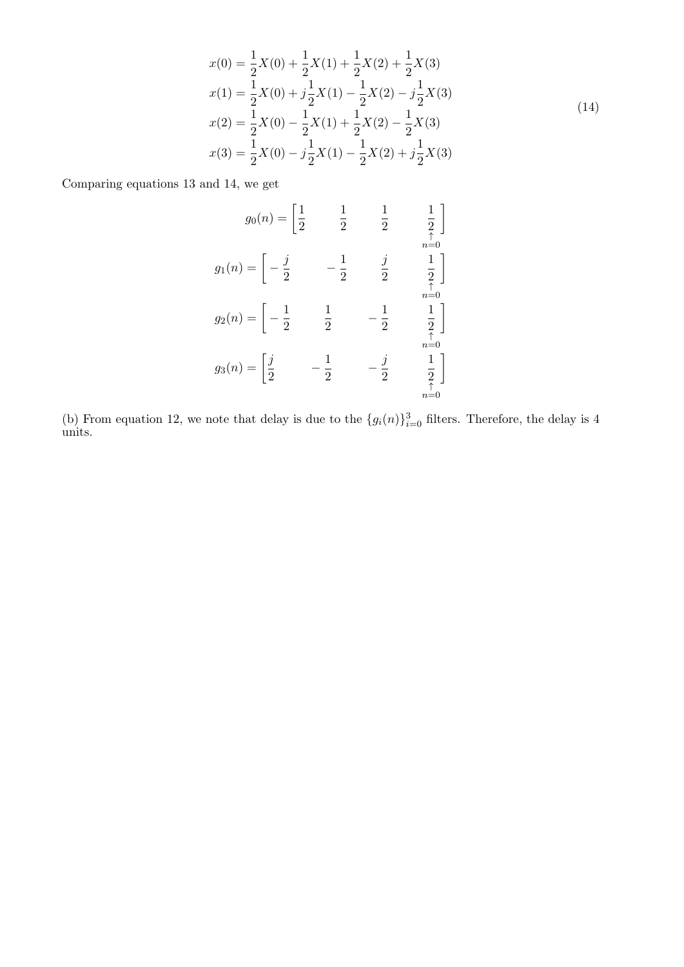$$
x(0) = \frac{1}{2}X(0) + \frac{1}{2}X(1) + \frac{1}{2}X(2) + \frac{1}{2}X(3)
$$
  
\n
$$
x(1) = \frac{1}{2}X(0) + j\frac{1}{2}X(1) - \frac{1}{2}X(2) - j\frac{1}{2}X(3)
$$
  
\n
$$
x(2) = \frac{1}{2}X(0) - \frac{1}{2}X(1) + \frac{1}{2}X(2) - \frac{1}{2}X(3)
$$
  
\n
$$
x(3) = \frac{1}{2}X(0) - j\frac{1}{2}X(1) - \frac{1}{2}X(2) + j\frac{1}{2}X(3)
$$
\n(14)

Comparing equations 13 and 14, we get

$$
g_0(n) = \begin{bmatrix} \frac{1}{2} & \frac{1}{2} & \frac{1}{2} & \frac{1}{2} \\ \frac{1}{2} & \frac{1}{2} & \frac{1}{2} & \frac{1}{2} \end{bmatrix}
$$

$$
g_1(n) = \begin{bmatrix} -\frac{j}{2} & -\frac{1}{2} & \frac{j}{2} & \frac{1}{2} \\ -\frac{1}{2} & \frac{1}{2} & -\frac{1}{2} & \frac{1}{2} \end{bmatrix}
$$

$$
g_2(n) = \begin{bmatrix} -\frac{1}{2} & \frac{1}{2} & -\frac{1}{2} & \frac{1}{2} \\ \frac{j}{2} & -\frac{1}{2} & -\frac{j}{2} & \frac{1}{2} \\ \frac{n=0}{n=0} & \frac{n=0}{n=0} \end{bmatrix}
$$

(b) From equation 12, we note that delay is due to the  $\{g_i(n)\}_{i=0}^3$  filters. Therefore, the delay is 4 units.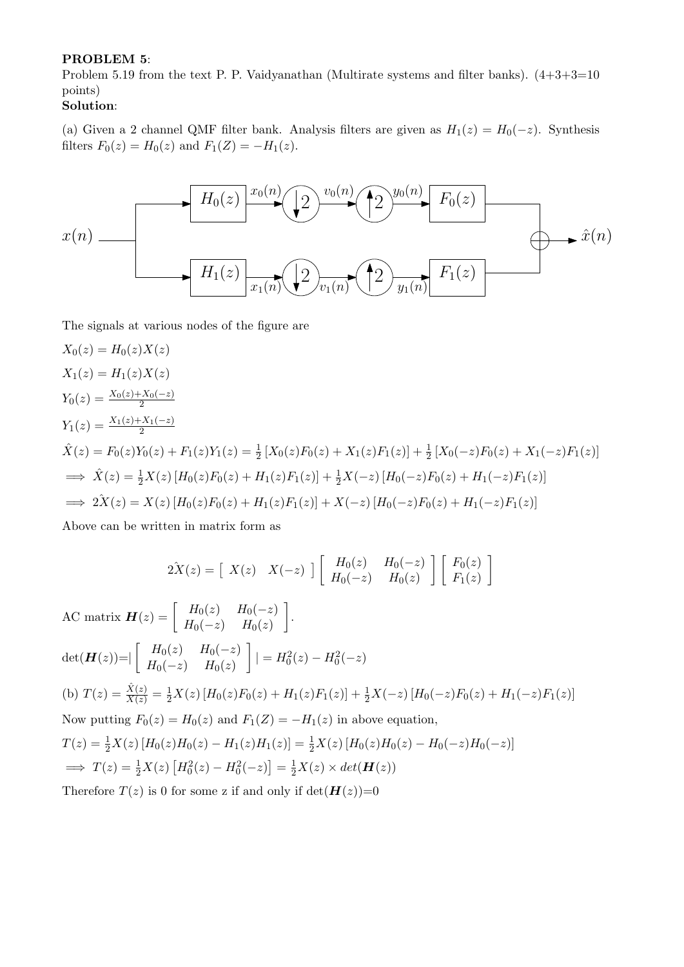#### PROBLEM 5:

Problem 5.19 from the text P. P. Vaidyanathan (Multirate systems and filter banks).  $(4+3+3=10$ points)

## Solution:

(a) Given a 2 channel QMF filter bank. Analysis filters are given as  $H_1(z) = H_0(-z)$ . Synthesis filters  $F_0(z) = H_0(z)$  and  $F_1(Z) = -H_1(z)$ .



The signals at various nodes of the figure are

$$
X_0(z) = H_0(z)X(z)
$$
  
\n
$$
X_1(z) = H_1(z)X(z)
$$
  
\n
$$
Y_0(z) = \frac{X_0(z) + X_0(-z)}{2}
$$
  
\n
$$
\hat{X}(z) = F_0(z)Y_0(z) + F_1(z)Y_1(z) = \frac{1}{2}[X_0(z)F_0(z) + X_1(z)F_1(z)] + \frac{1}{2}[X_0(-z)F_0(z) + X_1(-z)F_1(z)]
$$
  
\n
$$
\implies \hat{X}(z) = \frac{1}{2}X(z)[H_0(z)F_0(z) + H_1(z)F_1(z)] + \frac{1}{2}X(-z)[H_0(-z)F_0(z) + H_1(-z)F_1(z)]
$$
  
\n
$$
\implies 2\hat{X}(z) = X(z)[H_0(z)F_0(z) + H_1(z)F_1(z)] + X(-z)[H_0(-z)F_0(z) + H_1(-z)F_1(z)]
$$

Above can be written in matrix form as

$$
2\hat{X}(z) = \begin{bmatrix} X(z) & X(-z) \end{bmatrix} \begin{bmatrix} H_0(z) & H_0(-z) \\ H_0(-z) & H_0(z) \end{bmatrix} \begin{bmatrix} F_0(z) \\ F_1(z) \end{bmatrix}
$$

AC matrix  $\boldsymbol{H}(z) = \begin{bmatrix} H_0(z) & H_0(-z) \ H_1(z) & H_2(z) \end{bmatrix}$  $H_0(-z)$   $H_0(z)$  .  $det(\boldsymbol{H}(z)) = |\begin{bmatrix} H_0(z) & H_0(-z) \ H_0(-z) & H_0(z) \end{bmatrix}$  $H_0(-z)$   $H_0(z)$  $|$  =  $H_0^2(z) - H_0^2(-z)$ (b)  $T(z) = \frac{\hat{X}(z)}{X(z)} = \frac{1}{2}X(z) \left[ H_0(z)F_0(z) + H_1(z)F_1(z) \right] + \frac{1}{2}X(-z) \left[ H_0(-z)F_0(z) + H_1(-z)F_1(z) \right]$ Now putting  $F_0(z) = H_0(z)$  and  $F_1(Z) = -H_1(z)$  in above equation,  $T(z) = \frac{1}{2}X(z) [H_0(z)H_0(z) - H_1(z)H_1(z)] = \frac{1}{2}X(z) [H_0(z)H_0(z) - H_0(-z)H_0(-z)]$  $\implies T(z) = \frac{1}{2}X(z) [H_0^2(z) - H_0^2(-z)] = \frac{1}{2}X(z) \times det(\mathbf{H}(z))$ Therefore  $T(z)$  is 0 for some z if and only if  $\det(\mathbf{H}(z))=0$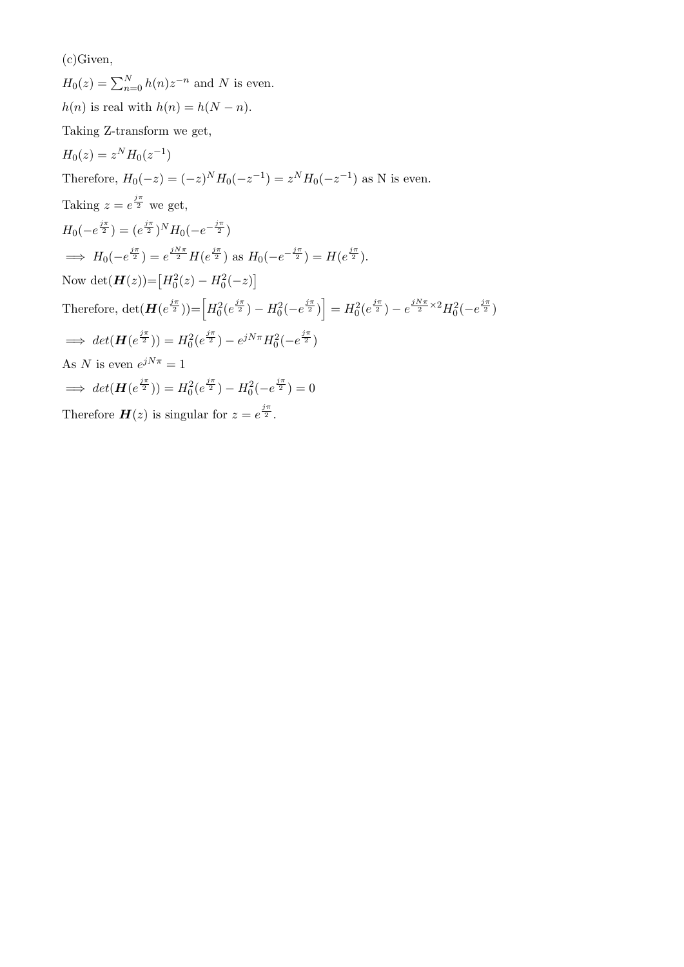(c)Given,

 $H_0(z) = \sum_{n=0}^{N} h(n) z^{-n}$  and N is even.  $h(n)$  is real with  $h(n) = h(N - n)$ . Taking Z-transform we get,  $H_0(z) = z^N H_0(z^{-1})$ Therefore,  $H_0(-z) = (-z)^N H_0(-z^{-1}) = z^N H_0(-z^{-1})$  as N is even. Taking  $z = e^{\frac{j\pi}{2}}$  we get,  $H_0(-e^{\frac{j\pi}{2}}) = (e^{\frac{j\pi}{2}})^N H_0(-e^{-\frac{j\pi}{2}})$  $\implies H_0(-e^{\frac{j\pi}{2}}) = e^{\frac{jN\pi}{2}}H(e^{\frac{j\pi}{2}})$  as  $H_0(-e^{-\frac{j\pi}{2}}) = H(e^{\frac{j\pi}{2}})$ . Now det $(\mathbf{H}(z)) = [H_0^2(z) - H_0^2(-z)]$ Therefore,  $\det(\mathbf{H}(e^{\frac{j\pi}{2}})) = \left[H_0^2(e^{\frac{j\pi}{2}}) - H_0^2(-e^{\frac{j\pi}{2}})\right] = H_0^2(e^{\frac{j\pi}{2}}) - e^{\frac{jN\pi}{2} \times 2}H_0^2(-e^{\frac{j\pi}{2}})$  $\implies det(\mathbf{H}(e^{\frac{j\pi}{2}})) = H_0^2(e^{\frac{j\pi}{2}}) - e^{jN\pi}H_0^2(-e^{\frac{j\pi}{2}})$ As N is even  $e^{jN\pi} = 1$  $\implies det(\mathbf{H}(e^{\frac{j\pi}{2}})) = H_0^2(e^{\frac{j\pi}{2}}) - H_0^2(-e^{\frac{j\pi}{2}}) = 0$ Therefore  $H(z)$  is singular for  $z = e^{\frac{j\pi}{2}}$ .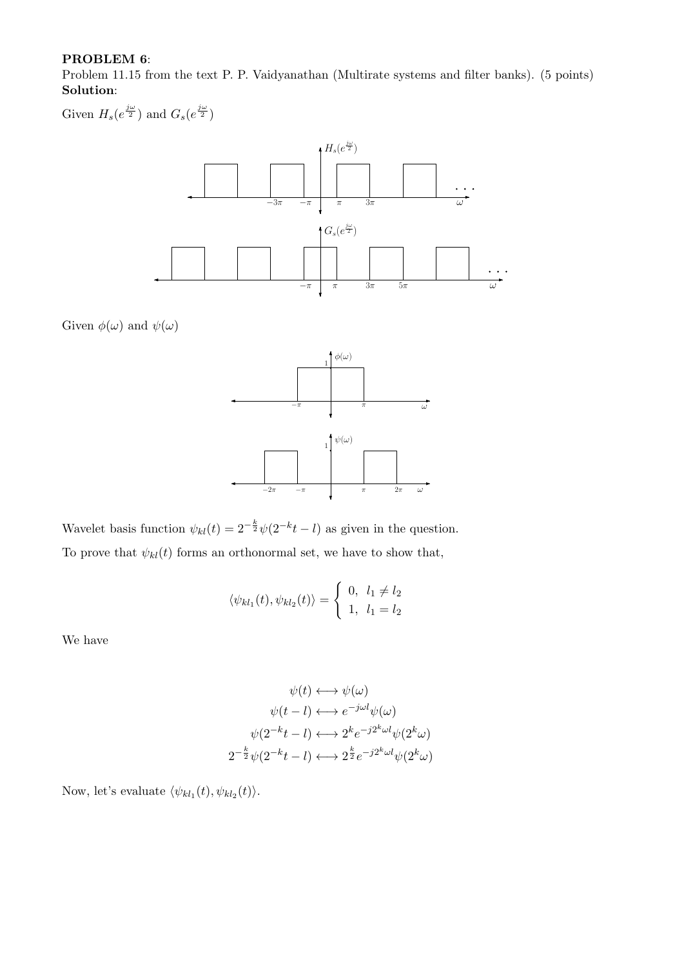### PROBLEM 6:

Problem 11.15 from the text P. P. Vaidyanathan (Multirate systems and filter banks). (5 points) Solution:

Given  $H_s(e^{\frac{j\omega}{2}})$  and  $G_s(e^{\frac{j\omega}{2}})$ 



Given  $\phi(\omega)$  and  $\psi(\omega)$ 



Wavelet basis function  $\psi_{kl}(t) = 2^{-\frac{k}{2}} \psi(2^{-k}t - l)$  as given in the question. To prove that  $\psi_{kl}(t)$  forms an orthonormal set, we have to show that,

$$
\langle \psi_{kl_1}(t), \psi_{kl_2}(t) \rangle = \begin{cases} 0, & l_1 \neq l_2 \\ 1, & l_1 = l_2 \end{cases}
$$

We have

$$
\psi(t) \longleftrightarrow \psi(\omega)
$$

$$
\psi(t-l) \longleftrightarrow e^{-j\omega l} \psi(\omega)
$$

$$
\psi(2^{-k}t-l) \longleftrightarrow 2^{k} e^{-j2^{k}\omega l} \psi(2^{k}\omega)
$$

$$
2^{-\frac{k}{2}} \psi(2^{-k}t-l) \longleftrightarrow 2^{\frac{k}{2}} e^{-j2^{k}\omega l} \psi(2^{k}\omega)
$$

Now, let's evaluate  $\langle \psi_{kl_1}(t), \psi_{kl_2}(t) \rangle$ .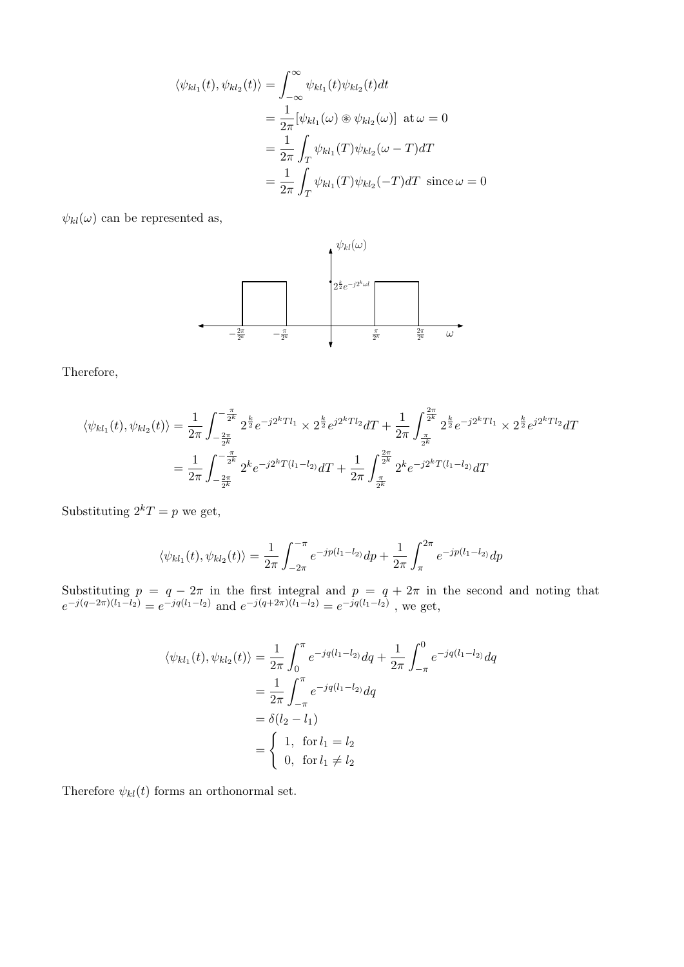$$
\langle \psi_{kl_1}(t), \psi_{kl_2}(t) \rangle = \int_{-\infty}^{\infty} \psi_{kl_1}(t) \psi_{kl_2}(t) dt
$$
  

$$
= \frac{1}{2\pi} [\psi_{kl_1}(\omega) \circledast \psi_{kl_2}(\omega)] \text{ at } \omega = 0
$$
  

$$
= \frac{1}{2\pi} \int_T \psi_{kl_1}(T) \psi_{kl_2}(\omega - T) dT
$$
  

$$
= \frac{1}{2\pi} \int_T \psi_{kl_1}(T) \psi_{kl_2}(-T) dT \text{ since } \omega = 0
$$

 $\psi_{kl}(\omega)$  can be represented as,



Therefore,

$$
\langle \psi_{kl_1}(t), \psi_{kl_2}(t) \rangle = \frac{1}{2\pi} \int_{-\frac{2\pi}{2^k}}^{-\frac{\pi}{2^k}} 2^{\frac{k}{2}} e^{-j2^k T l_1} \times 2^{\frac{k}{2}} e^{j2^k T l_2} dT + \frac{1}{2\pi} \int_{\frac{\pi}{2^k}}^{\frac{2\pi}{2^k}} 2^{\frac{k}{2}} e^{-j2^k T l_1} \times 2^{\frac{k}{2}} e^{j2^k T l_2} dT
$$
  

$$
= \frac{1}{2\pi} \int_{-\frac{2\pi}{2^k}}^{-\frac{\pi}{2^k}} 2^k e^{-j2^k T (l_1 - l_2)} dT + \frac{1}{2\pi} \int_{\frac{\pi}{2^k}}^{\frac{2\pi}{2^k}} 2^k e^{-j2^k T (l_1 - l_2)} dT
$$

Substituting  $2^kT = p$  we get,

$$
\langle \psi_{kl_1}(t), \psi_{kl_2}(t) \rangle = \frac{1}{2\pi} \int_{-2\pi}^{-\pi} e^{-jp(l_1-l_2)} dp + \frac{1}{2\pi} \int_{\pi}^{2\pi} e^{-jp(l_1-l_2)} dp
$$

Substituting  $p = q - 2\pi$  in the first integral and  $p = q + 2\pi$  in the second and noting that  $e^{-j(q-2\pi)(l_1-l_2)} = e^{-jq(l_1-l_2)}$  and  $e^{-j(q+2\pi)(l_1-l_2)} = e^{-jq(l_1-l_2)}$ , we get,

$$
\langle \psi_{kl_1}(t), \psi_{kl_2}(t) \rangle = \frac{1}{2\pi} \int_0^{\pi} e^{-jq(l_1-l_2)} dq + \frac{1}{2\pi} \int_{-\pi}^0 e^{-jq(l_1-l_2)} dq
$$
  
=  $\frac{1}{2\pi} \int_{-\pi}^{\pi} e^{-jq(l_1-l_2)} dq$   
=  $\delta(l_2-l_1)$   
=  $\begin{cases} 1, & \text{for } l_1 = l_2 \\ 0, & \text{for } l_1 \neq l_2 \end{cases}$ 

Therefore  $\psi_{kl}(t)$  forms an orthonormal set.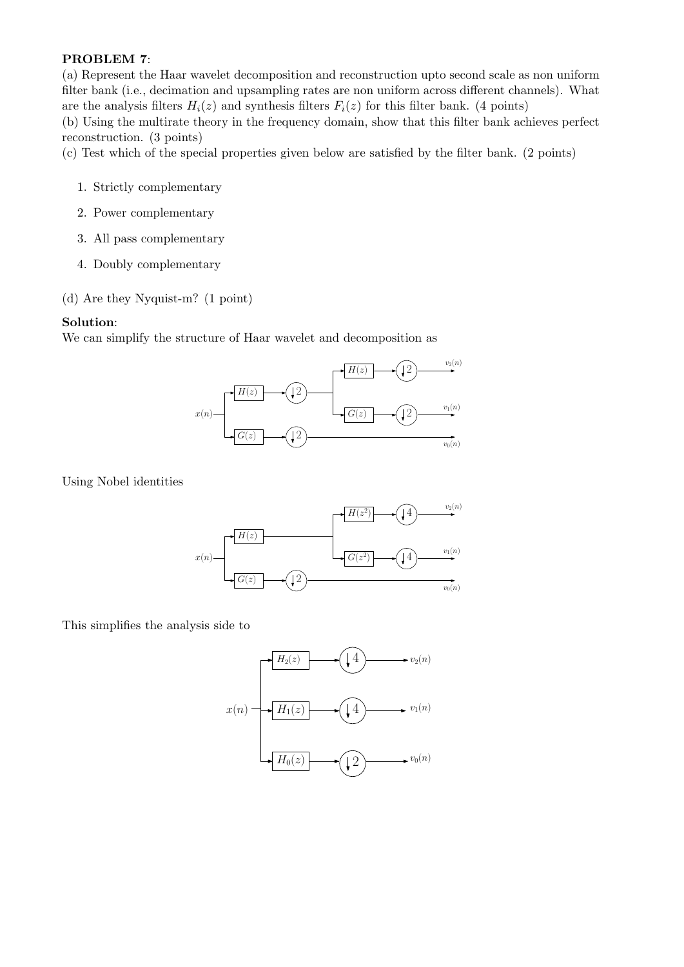## PROBLEM 7:

(a) Represent the Haar wavelet decomposition and reconstruction upto second scale as non uniform filter bank (i.e., decimation and upsampling rates are non uniform across different channels). What are the analysis filters  $H_i(z)$  and synthesis filters  $F_i(z)$  for this filter bank. (4 points)

(b) Using the multirate theory in the frequency domain, show that this filter bank achieves perfect reconstruction. (3 points)

(c) Test which of the special properties given below are satisfied by the filter bank. (2 points)

- 1. Strictly complementary
- 2. Power complementary
- 3. All pass complementary
- 4. Doubly complementary
- (d) Are they Nyquist-m? (1 point)

### Solution:

We can simplify the structure of Haar wavelet and decomposition as



Using Nobel identities



This simplifies the analysis side to

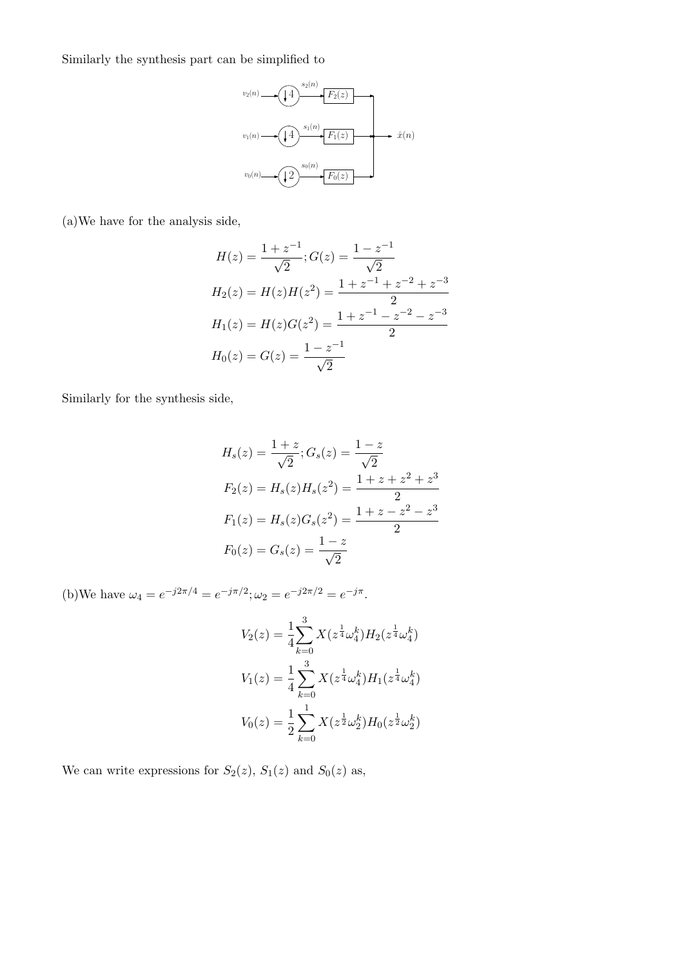Similarly the synthesis part can be simplified to



(a)We have for the analysis side,

$$
H(z) = \frac{1 + z^{-1}}{\sqrt{2}}; G(z) = \frac{1 - z^{-1}}{\sqrt{2}}
$$
  
\n
$$
H_2(z) = H(z)H(z^2) = \frac{1 + z^{-1} + z^{-2} + z^{-3}}{2}
$$
  
\n
$$
H_1(z) = H(z)G(z^2) = \frac{1 + z^{-1} - z^{-2} - z^{-3}}{2}
$$
  
\n
$$
H_0(z) = G(z) = \frac{1 - z^{-1}}{\sqrt{2}}
$$

Similarly for the synthesis side,

$$
H_s(z) = \frac{1+z}{\sqrt{2}}; G_s(z) = \frac{1-z}{\sqrt{2}}
$$
  
\n
$$
F_2(z) = H_s(z)H_s(z^2) = \frac{1+z+z^2+z^3}{2}
$$
  
\n
$$
F_1(z) = H_s(z)G_s(z^2) = \frac{1+z-z^2-z^3}{2}
$$
  
\n
$$
F_0(z) = G_s(z) = \frac{1-z}{\sqrt{2}}
$$

(b)We have  $\omega_4 = e^{-j2\pi/4} = e^{-j\pi/2}; \omega_2 = e^{-j2\pi/2} = e^{-j\pi}.$ 

$$
V_2(z) = \frac{1}{4} \sum_{k=0}^{3} X(z^{\frac{1}{4}} \omega_4^k) H_2(z^{\frac{1}{4}} \omega_4^k)
$$
  

$$
V_1(z) = \frac{1}{4} \sum_{k=0}^{3} X(z^{\frac{1}{4}} \omega_4^k) H_1(z^{\frac{1}{4}} \omega_4^k)
$$
  

$$
V_0(z) = \frac{1}{2} \sum_{k=0}^{1} X(z^{\frac{1}{2}} \omega_2^k) H_0(z^{\frac{1}{2}} \omega_2^k)
$$

We can write expressions for  $S_2(z)$ ,  $S_1(z)$  and  $S_0(z)$  as,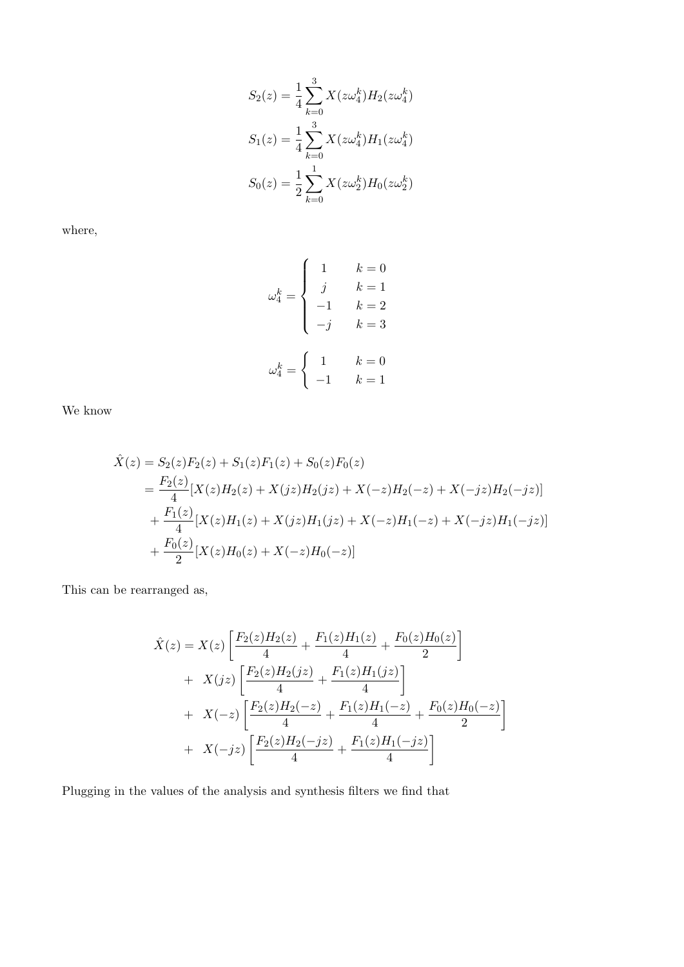$$
S_2(z) = \frac{1}{4} \sum_{k=0}^{3} X(z\omega_4^k) H_2(z\omega_4^k)
$$
  

$$
S_1(z) = \frac{1}{4} \sum_{k=0}^{3} X(z\omega_4^k) H_1(z\omega_4^k)
$$
  

$$
S_0(z) = \frac{1}{2} \sum_{k=0}^{1} X(z\omega_2^k) H_0(z\omega_2^k)
$$

where,

$$
\omega_4^k = \begin{cases}\n1 & k = 0 \\
j & k = 1 \\
-1 & k = 2 \\
-j & k = 3\n\end{cases}
$$
\n
$$
\omega_4^k = \begin{cases}\n1 & k = 0 \\
-1 & k = 1\n\end{cases}
$$

We know

$$
\hat{X}(z) = S_2(z)F_2(z) + S_1(z)F_1(z) + S_0(z)F_0(z)
$$
\n
$$
= \frac{F_2(z)}{4}[X(z)H_2(z) + X(jz)H_2(jz) + X(-z)H_2(-z) + X(-jz)H_2(-jz)]
$$
\n
$$
+ \frac{F_1(z)}{4}[X(z)H_1(z) + X(jz)H_1(jz) + X(-z)H_1(-z) + X(-jz)H_1(-jz)]
$$
\n
$$
+ \frac{F_0(z)}{2}[X(z)H_0(z) + X(-z)H_0(-z)]
$$

This can be rearranged as,

$$
\hat{X}(z) = X(z) \left[ \frac{F_2(z)H_2(z)}{4} + \frac{F_1(z)H_1(z)}{4} + \frac{F_0(z)H_0(z)}{2} \right] \n+ X(jz) \left[ \frac{F_2(z)H_2(jz)}{4} + \frac{F_1(z)H_1(jz)}{4} \right] \n+ X(-z) \left[ \frac{F_2(z)H_2(-z)}{4} + \frac{F_1(z)H_1(-z)}{4} + \frac{F_0(z)H_0(-z)}{2} \right] \n+ X(-jz) \left[ \frac{F_2(z)H_2(-jz)}{4} + \frac{F_1(z)H_1(-jz)}{4} \right]
$$

Plugging in the values of the analysis and synthesis filters we find that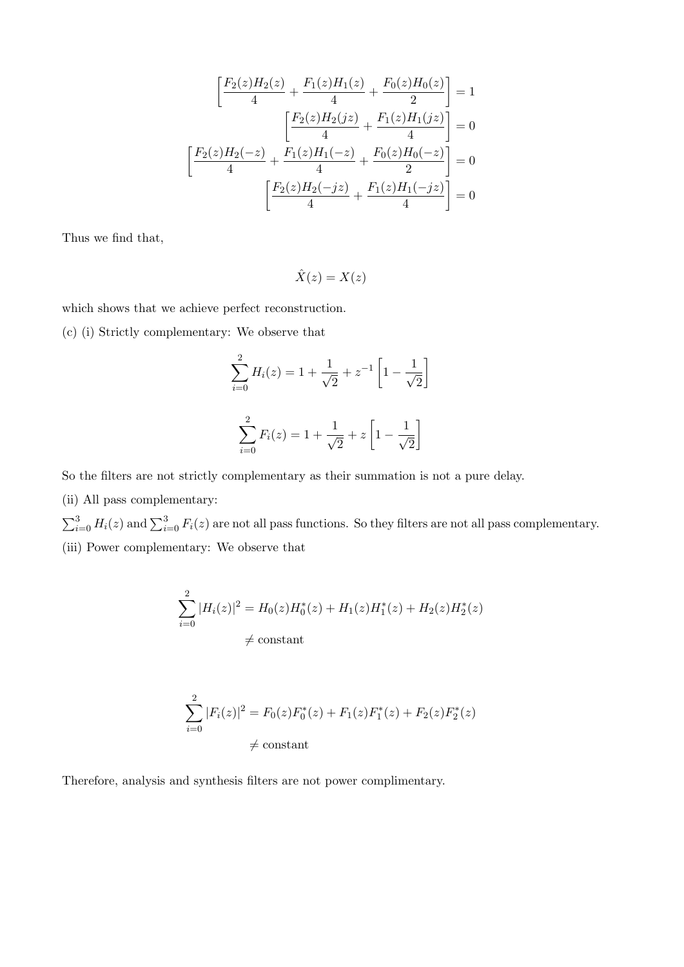$$
\left[\frac{F_2(z)H_2(z)}{4} + \frac{F_1(z)H_1(z)}{4} + \frac{F_0(z)H_0(z)}{2}\right] = 1
$$

$$
\left[\frac{F_2(z)H_2(jz)}{4} + \frac{F_1(z)H_1(jz)}{4}\right] = 0
$$

$$
\left[\frac{F_2(z)H_2(-z)}{4} + \frac{F_1(z)H_1(-z)}{4} + \frac{F_0(z)H_0(-z)}{2}\right] = 0
$$

$$
\left[\frac{F_2(z)H_2(-jz)}{4} + \frac{F_1(z)H_1(-jz)}{4}\right] = 0
$$

Thus we find that,

$$
\hat{X}(z) = X(z)
$$

which shows that we achieve perfect reconstruction.

(c) (i) Strictly complementary: We observe that

$$
\sum_{i=0}^{2} H_i(z) = 1 + \frac{1}{\sqrt{2}} + z^{-1} \left[ 1 - \frac{1}{\sqrt{2}} \right]
$$

$$
\sum_{i=0}^{2} F_i(z) = 1 + \frac{1}{\sqrt{2}} + z \left[ 1 - \frac{1}{\sqrt{2}} \right]
$$

So the filters are not strictly complementary as their summation is not a pure delay.

(ii) All pass complementary:

 $\sum_{i=0}^{3} H_i(z)$  and  $\sum_{i=0}^{3} F_i(z)$  are not all pass functions. So they filters are not all pass complementary. (iii) Power complementary: We observe that

$$
\sum_{i=0}^{2} |H_i(z)|^2 = H_0(z)H_0^*(z) + H_1(z)H_1^*(z) + H_2(z)H_2^*(z)
$$
  

$$
\neq \text{constant}
$$

$$
\sum_{i=0}^{2} |F_i(z)|^2 = F_0(z)F_0^*(z) + F_1(z)F_1^*(z) + F_2(z)F_2^*(z)
$$
  

$$
\neq \text{constant}
$$

Therefore, analysis and synthesis filters are not power complimentary.